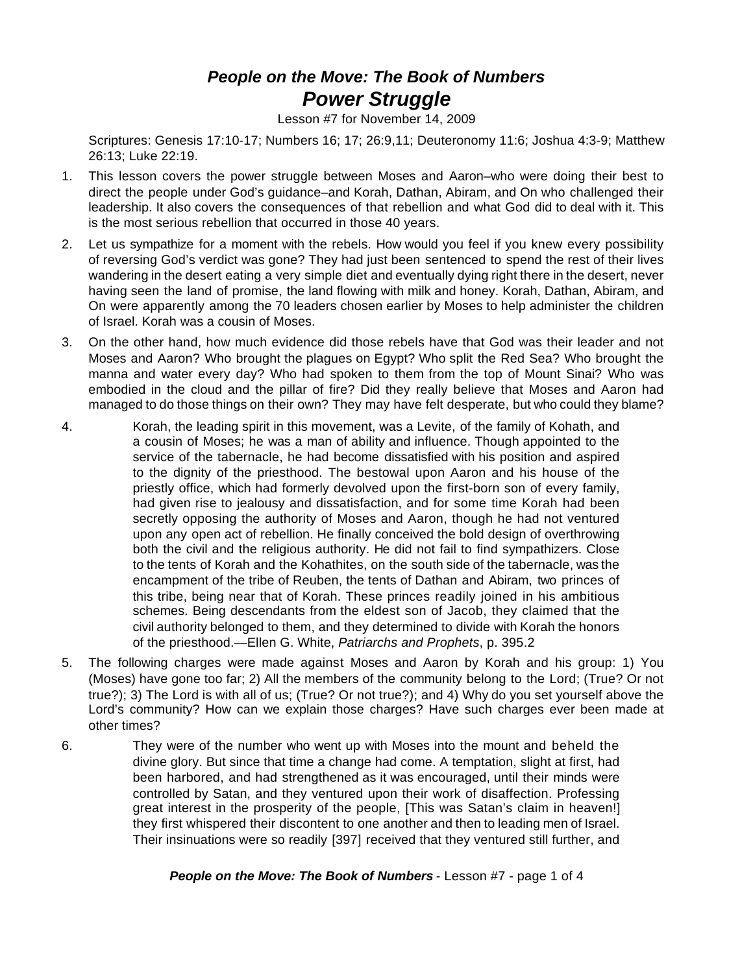## *People on the Move: The Book of Numbers Power Struggle*

Lesson #7 for November 14, 2009

Scriptures: Genesis 17:10-17; Numbers 16; 17; 26:9,11; Deuteronomy 11:6; Joshua 4:3-9; Matthew 26:13; Luke 22:19.

- 1. This lesson covers the power struggle between Moses and Aaron–who were doing their best to direct the people under God's guidance–and Korah, Dathan, Abiram, and On who challenged their leadership. It also covers the consequences of that rebellion and what God did to deal with it. This is the most serious rebellion that occurred in those 40 years.
- 2. Let us sympathize for a moment with the rebels. How would you feel if you knew every possibility of reversing God's verdict was gone? They had just been sentenced to spend the rest of their lives wandering in the desert eating a very simple diet and eventually dying right there in the desert, never having seen the land of promise, the land flowing with milk and honey. Korah, Dathan, Abiram, and On were apparently among the 70 leaders chosen earlier by Moses to help administer the children of Israel. Korah was a cousin of Moses.
- 3. On the other hand, how much evidence did those rebels have that God was their leader and not Moses and Aaron? Who brought the plagues on Egypt? Who split the Red Sea? Who brought the manna and water every day? Who had spoken to them from the top of Mount Sinai? Who was embodied in the cloud and the pillar of fire? Did they really believe that Moses and Aaron had managed to do those things on their own? They may have felt desperate, but who could they blame?
- 4. Korah, the leading spirit in this movement, was a Levite, of the family of Kohath, and a cousin of Moses; he was a man of ability and influence. Though appointed to the service of the tabernacle, he had become dissatisfied with his position and aspired to the dignity of the priesthood. The bestowal upon Aaron and his house of the priestly office, which had formerly devolved upon the first-born son of every family, had given rise to jealousy and dissatisfaction, and for some time Korah had been secretly opposing the authority of Moses and Aaron, though he had not ventured upon any open act of rebellion. He finally conceived the bold design of overthrowing both the civil and the religious authority. He did not fail to find sympathizers. Close to the tents of Korah and the Kohathites, on the south side of the tabernacle, was the encampment of the tribe of Reuben, the tents of Dathan and Abiram, two princes of this tribe, being near that of Korah. These princes readily joined in his ambitious schemes. Being descendants from the eldest son of Jacob, they claimed that the civil authority belonged to them, and they determined to divide with Korah the honors of the priesthood.—Ellen G. White, *Patriarchs and Prophets*, p. 395.2
- 5. The following charges were made against Moses and Aaron by Korah and his group: 1) You (Moses) have gone too far; 2) All the members of the community belong to the Lord; (True? Or not true?); 3) The Lord is with all of us; (True? Or not true?); and 4) Why do you set yourself above the Lord's community? How can we explain those charges? Have such charges ever been made at other times?
- 6. They were of the number who went up with Moses into the mount and beheld the divine glory. But since that time a change had come. A temptation, slight at first, had been harbored, and had strengthened as it was encouraged, until their minds were controlled by Satan, and they ventured upon their work of disaffection. Professing great interest in the prosperity of the people, [This was Satan's claim in heaven!] they first whispered their discontent to one another and then to leading men of Israel. Their insinuations were so readily [397] received that they ventured still further, and

## *People on the Move: The Book of Numbers* - Lesson #7 - page 1 of 4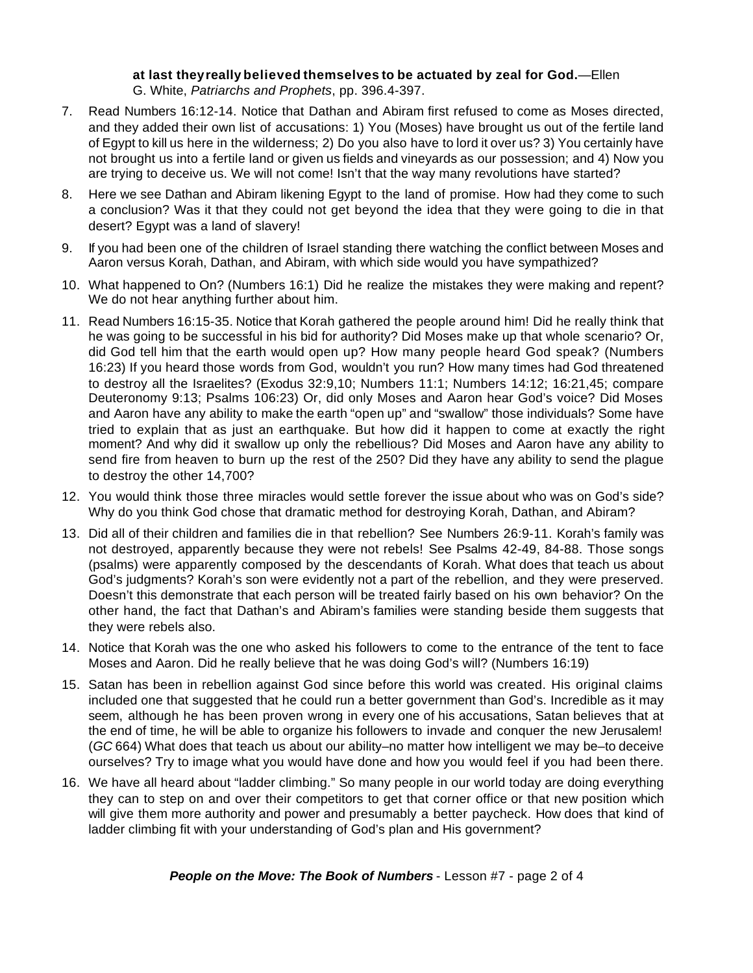## **at last theyreally believed themselves to be actuated by zeal for God.**—Ellen G. White, *Patriarchs and Prophets*, pp. 396.4-397.

- 7. Read Numbers 16:12-14. Notice that Dathan and Abiram first refused to come as Moses directed, and they added their own list of accusations: 1) You (Moses) have brought us out of the fertile land of Egypt to kill us here in the wilderness; 2) Do you also have to lord it over us? 3) You certainly have not brought us into a fertile land or given us fields and vineyards as our possession; and 4) Now you are trying to deceive us. We will not come! Isn't that the way many revolutions have started?
- 8. Here we see Dathan and Abiram likening Egypt to the land of promise. How had they come to such a conclusion? Was it that they could not get beyond the idea that they were going to die in that desert? Egypt was a land of slavery!
- 9. If you had been one of the children of Israel standing there watching the conflict between Moses and Aaron versus Korah, Dathan, and Abiram, with which side would you have sympathized?
- 10. What happened to On? (Numbers 16:1) Did he realize the mistakes they were making and repent? We do not hear anything further about him.
- 11. Read Numbers 16:15-35. Notice that Korah gathered the people around him! Did he really think that he was going to be successful in his bid for authority? Did Moses make up that whole scenario? Or, did God tell him that the earth would open up? How many people heard God speak? (Numbers 16:23) If you heard those words from God, wouldn't you run? How many times had God threatened to destroy all the Israelites? (Exodus 32:9,10; Numbers 11:1; Numbers 14:12; 16:21,45; compare Deuteronomy 9:13; Psalms 106:23) Or, did only Moses and Aaron hear God's voice? Did Moses and Aaron have any ability to make the earth "open up" and "swallow" those individuals? Some have tried to explain that as just an earthquake. But how did it happen to come at exactly the right moment? And why did it swallow up only the rebellious? Did Moses and Aaron have any ability to send fire from heaven to burn up the rest of the 250? Did they have any ability to send the plague to destroy the other 14,700?
- 12. You would think those three miracles would settle forever the issue about who was on God's side? Why do you think God chose that dramatic method for destroying Korah, Dathan, and Abiram?
- 13. Did all of their children and families die in that rebellion? See Numbers 26:9-11. Korah's family was not destroyed, apparently because they were not rebels! See Psalms 42-49, 84-88. Those songs (psalms) were apparently composed by the descendants of Korah. What does that teach us about God's judgments? Korah's son were evidently not a part of the rebellion, and they were preserved. Doesn't this demonstrate that each person will be treated fairly based on his own behavior? On the other hand, the fact that Dathan's and Abiram's families were standing beside them suggests that they were rebels also.
- 14. Notice that Korah was the one who asked his followers to come to the entrance of the tent to face Moses and Aaron. Did he really believe that he was doing God's will? (Numbers 16:19)
- 15. Satan has been in rebellion against God since before this world was created. His original claims included one that suggested that he could run a better government than God's. Incredible as it may seem, although he has been proven wrong in every one of his accusations, Satan believes that at the end of time, he will be able to organize his followers to invade and conquer the new Jerusalem! (*GC* 664) What does that teach us about our ability–no matter how intelligent we may be–to deceive ourselves? Try to image what you would have done and how you would feel if you had been there.
- 16. We have all heard about "ladder climbing." So many people in our world today are doing everything they can to step on and over their competitors to get that corner office or that new position which will give them more authority and power and presumably a better paycheck. How does that kind of ladder climbing fit with your understanding of God's plan and His government?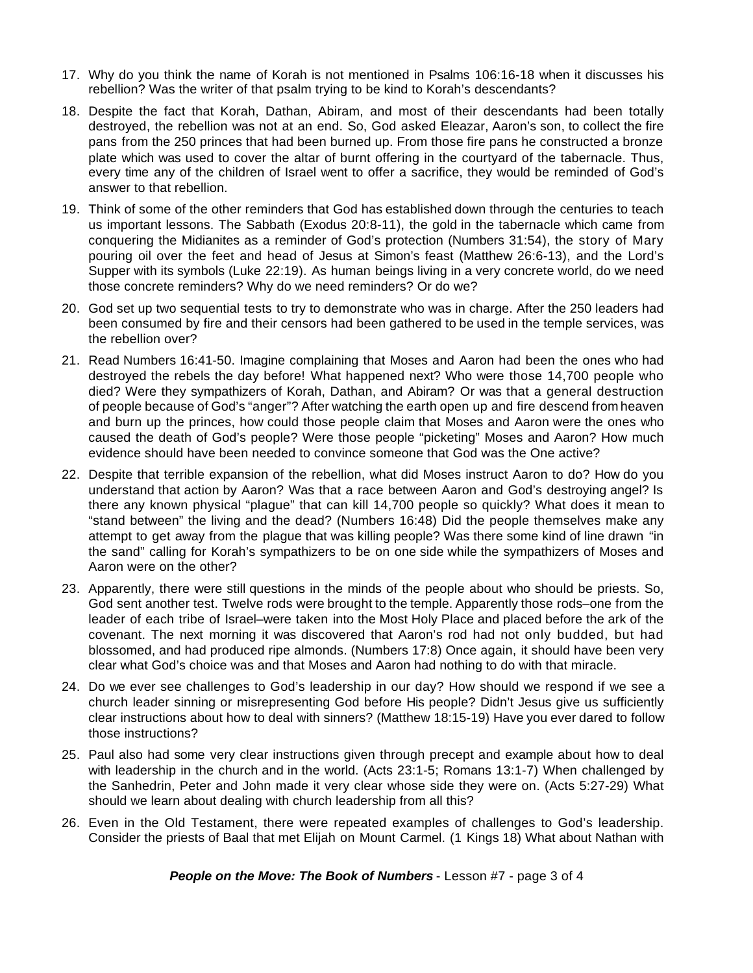- 17. Why do you think the name of Korah is not mentioned in Psalms 106:16-18 when it discusses his rebellion? Was the writer of that psalm trying to be kind to Korah's descendants?
- 18. Despite the fact that Korah, Dathan, Abiram, and most of their descendants had been totally destroyed, the rebellion was not at an end. So, God asked Eleazar, Aaron's son, to collect the fire pans from the 250 princes that had been burned up. From those fire pans he constructed a bronze plate which was used to cover the altar of burnt offering in the courtyard of the tabernacle. Thus, every time any of the children of Israel went to offer a sacrifice, they would be reminded of God's answer to that rebellion.
- 19. Think of some of the other reminders that God has established down through the centuries to teach us important lessons. The Sabbath (Exodus 20:8-11), the gold in the tabernacle which came from conquering the Midianites as a reminder of God's protection (Numbers 31:54), the story of Mary pouring oil over the feet and head of Jesus at Simon's feast (Matthew 26:6-13), and the Lord's Supper with its symbols (Luke 22:19). As human beings living in a very concrete world, do we need those concrete reminders? Why do we need reminders? Or do we?
- 20. God set up two sequential tests to try to demonstrate who was in charge. After the 250 leaders had been consumed by fire and their censors had been gathered to be used in the temple services, was the rebellion over?
- 21. Read Numbers 16:41-50. Imagine complaining that Moses and Aaron had been the ones who had destroyed the rebels the day before! What happened next? Who were those 14,700 people who died? Were they sympathizers of Korah, Dathan, and Abiram? Or was that a general destruction of people because of God's "anger"? After watching the earth open up and fire descend from heaven and burn up the princes, how could those people claim that Moses and Aaron were the ones who caused the death of God's people? Were those people "picketing" Moses and Aaron? How much evidence should have been needed to convince someone that God was the One active?
- 22. Despite that terrible expansion of the rebellion, what did Moses instruct Aaron to do? How do you understand that action by Aaron? Was that a race between Aaron and God's destroying angel? Is there any known physical "plague" that can kill 14,700 people so quickly? What does it mean to "stand between" the living and the dead? (Numbers 16:48) Did the people themselves make any attempt to get away from the plague that was killing people? Was there some kind of line drawn "in the sand" calling for Korah's sympathizers to be on one side while the sympathizers of Moses and Aaron were on the other?
- 23. Apparently, there were still questions in the minds of the people about who should be priests. So, God sent another test. Twelve rods were brought to the temple. Apparently those rods–one from the leader of each tribe of Israel–were taken into the Most Holy Place and placed before the ark of the covenant. The next morning it was discovered that Aaron's rod had not only budded, but had blossomed, and had produced ripe almonds. (Numbers 17:8) Once again, it should have been very clear what God's choice was and that Moses and Aaron had nothing to do with that miracle.
- 24. Do we ever see challenges to God's leadership in our day? How should we respond if we see a church leader sinning or misrepresenting God before His people? Didn't Jesus give us sufficiently clear instructions about how to deal with sinners? (Matthew 18:15-19) Have you ever dared to follow those instructions?
- 25. Paul also had some very clear instructions given through precept and example about how to deal with leadership in the church and in the world. (Acts 23:1-5; Romans 13:1-7) When challenged by the Sanhedrin, Peter and John made it very clear whose side they were on. (Acts 5:27-29) What should we learn about dealing with church leadership from all this?
- 26. Even in the Old Testament, there were repeated examples of challenges to God's leadership. Consider the priests of Baal that met Elijah on Mount Carmel. (1 Kings 18) What about Nathan with

*People on the Move: The Book of Numbers* - Lesson #7 - page 3 of 4